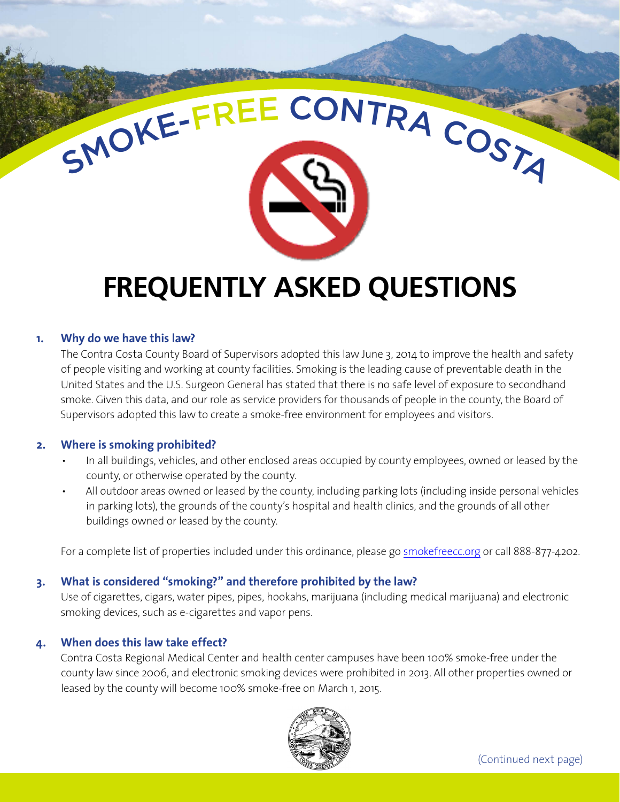# **FREQUENTLY ASKED QUESTIONS**

SMOKE-FREE CONTRA COSTA

# **1. Why do we have this law?**

The Contra Costa County Board of Supervisors adopted this law June 3, 2014 to improve the health and safety of people visiting and working at county facilities. Smoking is the leading cause of preventable death in the United States and the U.S. Surgeon General has stated that there is no safe level of exposure to secondhand smoke. Given this data, and our role as service providers for thousands of people in the county, the Board of Supervisors adopted this law to create a smoke-free environment for employees and visitors.

## **2. Where is smoking prohibited?**

- In all buildings, vehicles, and other enclosed areas occupied by county employees, owned or leased by the county, or otherwise operated by the county.
- All outdoor areas owned or leased by the county, including parking lots (including inside personal vehicles in parking lots), the grounds of the county's hospital and health clinics, and the grounds of all other buildings owned or leased by the county.

For a complete list of properties included under this ordinance, please go [smokefreecc.org](http://smokefreecc.org) or call 888-877-4202.

## **3. What is considered "smoking?" and therefore prohibited by the law?**

Use of cigarettes, cigars, water pipes, pipes, hookahs, marijuana (including medical marijuana) and electronic smoking devices, such as e-cigarettes and vapor pens.

## **4. When does this law take effect?**

Contra Costa Regional Medical Center and health center campuses have been 100% smoke-free under the county law since 2006, and electronic smoking devices were prohibited in 2013. All other properties owned or leased by the county will become 100% smoke-free on March 1, 2015.

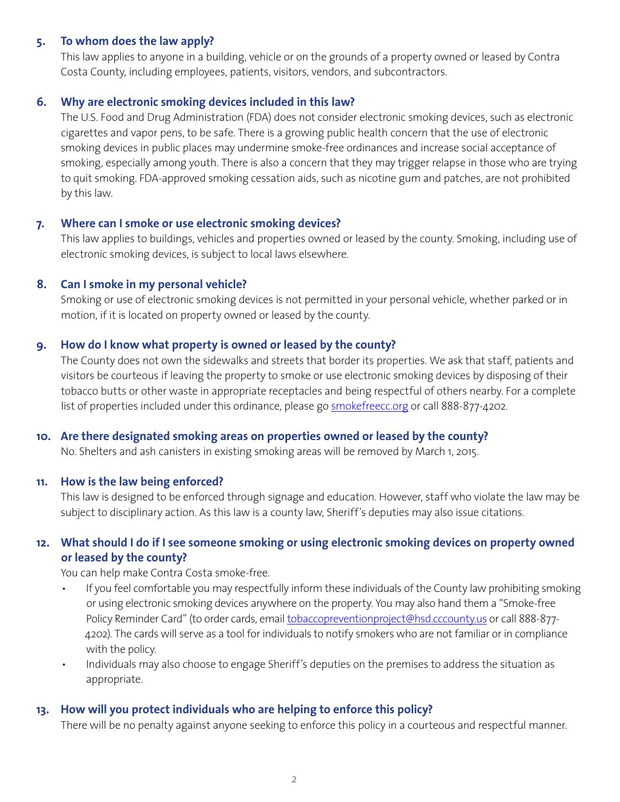## **5. To whom does the law apply?**

This law applies to anyone in a building, vehicle or on the grounds of a property owned or leased by Contra Costa County, including employees, patients, visitors, vendors, and subcontractors.

## **6. Why are electronic smoking devices included in this law?**

The U.S. Food and Drug Administration (FDA) does not consider electronic smoking devices, such as electronic cigarettes and vapor pens, to be safe. There is a growing public health concern that the use of electronic smoking devices in public places may undermine smoke-free ordinances and increase social acceptance of smoking, especially among youth. There is also a concern that they may trigger relapse in those who are trying to quit smoking. FDA-approved smoking cessation aids, such as nicotine gum and patches, are not prohibited by this law.

### **7. Where can I smoke or use electronic smoking devices?**

This law applies to buildings, vehicles and properties owned or leased by the county. Smoking, including use of electronic smoking devices, is subject to local laws elsewhere.

### **8. Can I smoke in my personal vehicle?**

Smoking or use of electronic smoking devices is not permitted in your personal vehicle, whether parked or in motion, if it is located on property owned or leased by the county.

## **9. How do I know what property is owned or leased by the county?**

The County does not own the sidewalks and streets that border its properties. We ask that staff, patients and visitors be courteous if leaving the property to smoke or use electronic smoking devices by disposing of their tobacco butts or other waste in appropriate receptacles and being respectful of others nearby. For a complete list of properties included under this ordinance, please go **smokefreecc.org** or call 888-877-4202.

### **10. Are there designated smoking areas on properties owned or leased by the county?**

No. Shelters and ash canisters in existing smoking areas will be removed by March 1, 2015.

### **11. How is the law being enforced?**

This law is designed to be enforced through signage and education. However, staff who violate the law may be subject to disciplinary action. As this law is a county law, Sheriff's deputies may also issue citations.

# **12. What should I do if I see someone smoking or using electronic smoking devices on property owned or leased by the county?**

You can help make Contra Costa smoke-free.

- If you feel comfortable you may respectfully inform these individuals of the County law prohibiting smoking or using electronic smoking devices anywhere on the property. You may also hand them a "Smoke-free Policy Reminder Card" (to order cards, email [tobaccopreventionproject@hsd.cccounty.us](http://tobaccopreventionproject@hsd.cccounty.us) or call 888-877- 4202). The cards will serve as a tool for individuals to notify smokers who are not familiar or in compliance with the policy.
- Individuals may also choose to engage Sheriff's deputies on the premises to address the situation as appropriate.

## **13. How will you protect individuals who are helping to enforce this policy?**

There will be no penalty against anyone seeking to enforce this policy in a courteous and respectful manner.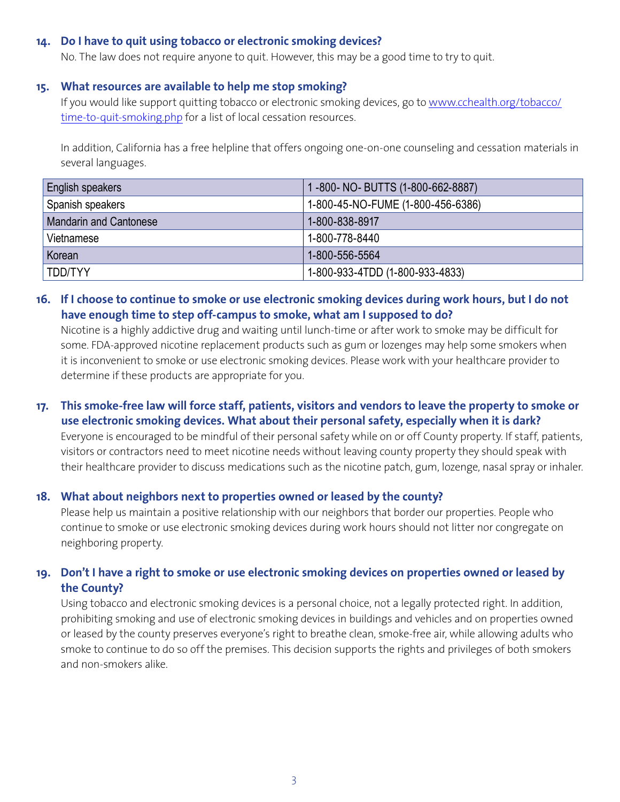### **14. Do I have to quit using tobacco or electronic smoking devices?**

No. The law does not require anyone to quit. However, this may be a good time to try to quit.

#### **15. What resources are available to help me stop smoking?**

If you would like support quitting tobacco or electronic smoking devices, go to [www.cchealth.org/tobacco/](http://www.cchealth.org/tobacco/time-to-quit-smoking.php) [time-to-quit-smoking.php](http://www.cchealth.org/tobacco/time-to-quit-smoking.php) for a list of local cessation resources.

In addition, California has a free helpline that offers ongoing one-on-one counseling and cessation materials in several languages.

| English speakers              | 1-800-NO-BUTTS (1-800-662-8887)   |
|-------------------------------|-----------------------------------|
| Spanish speakers              | 1-800-45-NO-FUME (1-800-456-6386) |
| <b>Mandarin and Cantonese</b> | 1-800-838-8917                    |
| Vietnamese                    | 1-800-778-8440                    |
| Korean                        | 1-800-556-5564                    |
| TDD/TYY                       | 1-800-933-4TDD (1-800-933-4833)   |

# **16. If I choose to continue to smoke or use electronic smoking devices during work hours, but I do not have enough time to step off-campus to smoke, what am I supposed to do?**

Nicotine is a highly addictive drug and waiting until lunch-time or after work to smoke may be difficult for some. FDA-approved nicotine replacement products such as gum or lozenges may help some smokers when it is inconvenient to smoke or use electronic smoking devices. Please work with your healthcare provider to determine if these products are appropriate for you.

# **17. This smoke-free law will force staff, patients, visitors and vendors to leave the property to smoke or use electronic smoking devices. What about their personal safety, especially when it is dark?**

Everyone is encouraged to be mindful of their personal safety while on or off County property. If staff, patients, visitors or contractors need to meet nicotine needs without leaving county property they should speak with their healthcare provider to discuss medications such as the nicotine patch, gum, lozenge, nasal spray or inhaler.

### **18. What about neighbors next to properties owned or leased by the county?**

Please help us maintain a positive relationship with our neighbors that border our properties. People who continue to smoke or use electronic smoking devices during work hours should not litter nor congregate on neighboring property.

## **19. Don't I have a right to smoke or use electronic smoking devices on properties owned or leased by the County?**

Using tobacco and electronic smoking devices is a personal choice, not a legally protected right. In addition, prohibiting smoking and use of electronic smoking devices in buildings and vehicles and on properties owned or leased by the county preserves everyone's right to breathe clean, smoke-free air, while allowing adults who smoke to continue to do so off the premises. This decision supports the rights and privileges of both smokers and non-smokers alike.